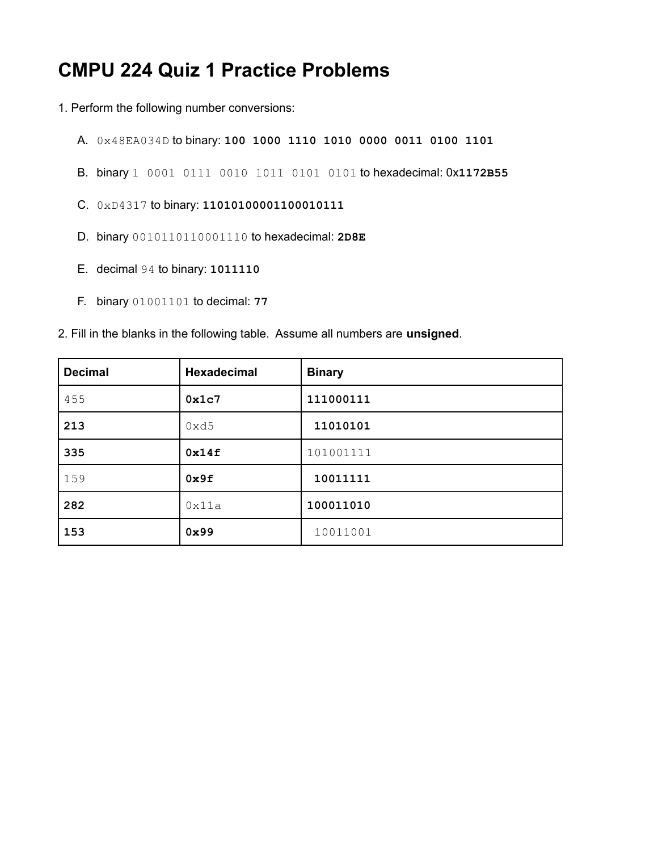## **CMPU 224 Quiz 1 Practice Problems**

- 1. Perform the following number conversions:
	- A. 0x48EA034D to binary: **100 1000 1110 1010 0000 0011 0100 1101**
	- B. binary 1 0001 0111 0010 1011 0101 0101 to hexadecimal: 0x**1172B55**
	- C. 0xD4317 to binary: **11010100001100010111**
	- D. binary 0010110110001110 to hexadecimal: **2D8E**
	- E. decimal 94 to binary: **1011110**
	- F. binary 01001101 to decimal: **77**
- 2. Fill in the blanks in the following table. Assume all numbers are **unsigned**.

| <b>Decimal</b> | <b>Hexadecimal</b> | <b>Binary</b> |
|----------------|--------------------|---------------|
| 455            | 0x1c7              | 111000111     |
| 213            | 0xd5               | 11010101      |
| 335            | 0x14f              | 101001111     |
| 159            | 0x9f               | 10011111      |
| 282            | 0x11a              | 100011010     |
| 153            | 0x99               | 10011001      |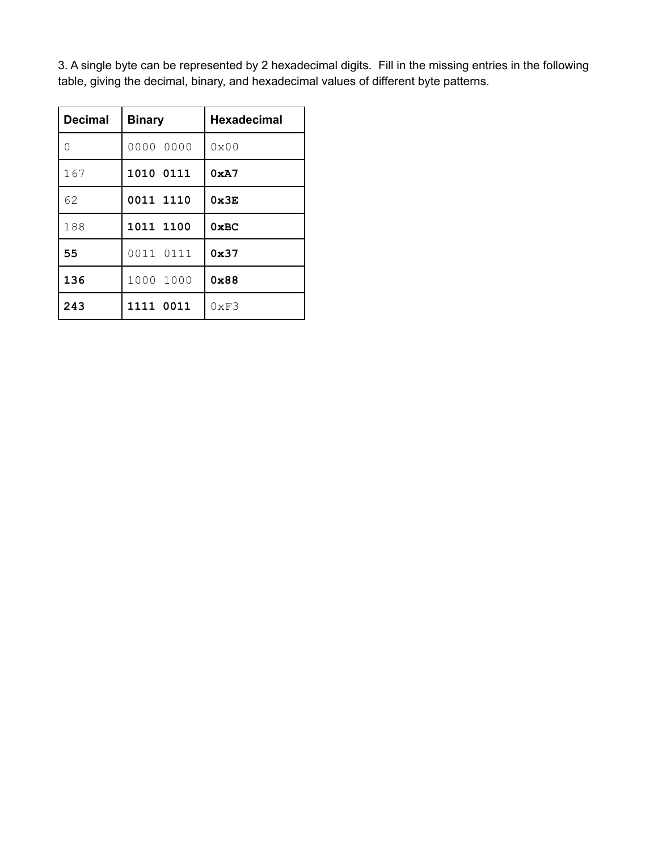3. A single byte can be represented by 2 hexadecimal digits. Fill in the missing entries in the following table, giving the decimal, binary, and hexadecimal values of different byte patterns.

| <b>Decimal</b> | <b>Binary</b> | <b>Hexadecimal</b> |
|----------------|---------------|--------------------|
| 0              | 0000 0000     | $0 \times 00$      |
| 167            | 1010 0111     | 0xA7               |
| 62             | 0011 1110     | 0x3E               |
| 188            | 1011 1100     | 0xBC               |
| 55             | 0011 0111     | 0x37               |
| 136            | 1000 1000     | 0x88               |
| 243            | 1111 0011     | 0xF3               |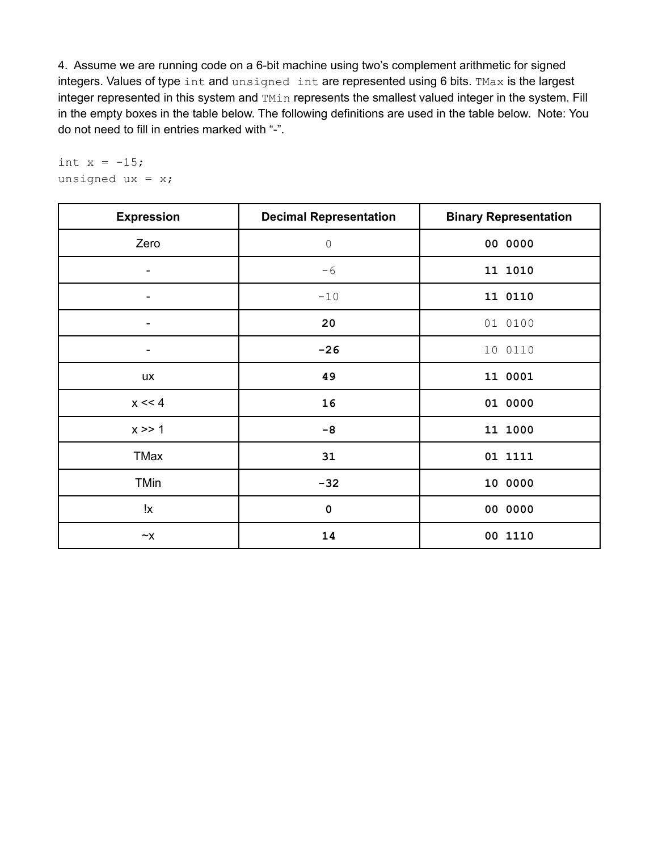4. Assume we are running code on a 6-bit machine using two's complement arithmetic for signed integers. Values of type int and unsigned int are represented using 6 bits. TMax is the largest integer represented in this system and TMin represents the smallest valued integer in the system. Fill in the empty boxes in the table below. The following definitions are used in the table below. Note: You do not need to fill in entries marked with "-".

int  $x = -15;$ unsigned  $ux = x;$ 

| <b>Expression</b>        | <b>Decimal Representation</b> | <b>Binary Representation</b> |
|--------------------------|-------------------------------|------------------------------|
| Zero                     | $\overline{0}$                | 00 0000                      |
| -                        | $-6$                          | 11 1010                      |
| $\overline{\phantom{a}}$ | $-10$                         | 11 0110                      |
| $\overline{\phantom{a}}$ | 20                            | 01 0100                      |
| $\overline{\phantom{a}}$ | $-26$                         | 10 0110                      |
| <b>UX</b>                | 49                            | 11 0001                      |
| $x \ll 4$                | 16                            | 01 0000                      |
| x >> 1                   | $-8$                          | 11 1000                      |
| TMax                     | 31                            | 01 1111                      |
| <b>TMin</b>              | $-32$                         | 10 0000                      |
| !χ                       | $\pmb{0}$                     | 00 0000                      |
| $\sim$ X                 | 14                            | 00 1110                      |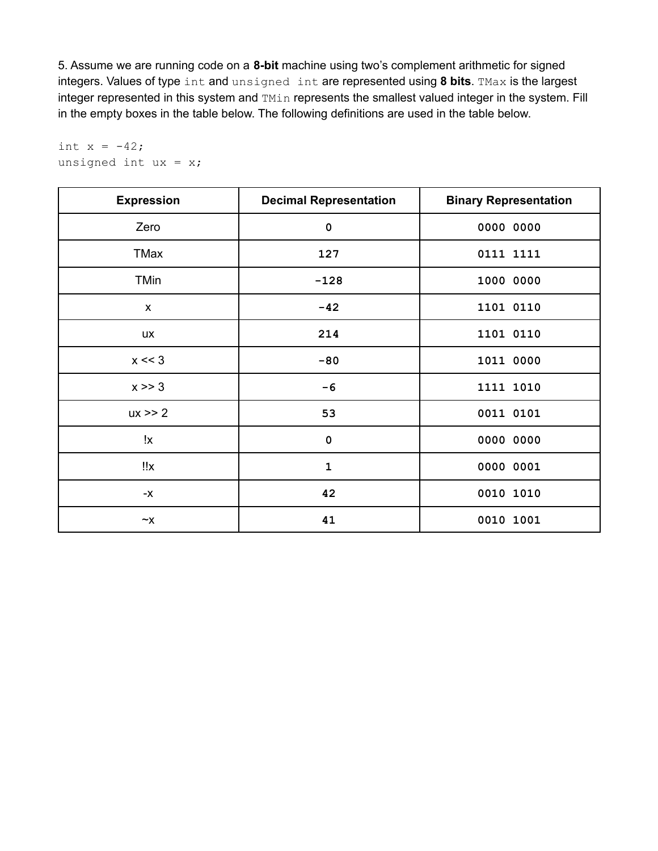5. Assume we are running code on a **8-bit** machine using two's complement arithmetic for signed integers. Values of type int and unsigned int are represented using **8 bits**. TMax is the largest integer represented in this system and TMin represents the smallest valued integer in the system. Fill in the empty boxes in the table below. The following definitions are used in the table below.

| <b>Expression</b> | <b>Decimal Representation</b> | <b>Binary Representation</b> |
|-------------------|-------------------------------|------------------------------|
| Zero              | $\mathbf 0$                   | 0000 0000                    |
| TMax              | 127                           | 0111 1111                    |
| <b>TMin</b>       | $-128$                        | 1000 0000                    |
| $\mathsf{x}$      | $-42$                         | 1101 0110                    |
| <b>UX</b>         | 214                           | 1101 0110                    |
| $x \ll 3$         | $-80$                         | 1011 0000                    |
| $x \gg 3$         | $-6$                          | 1111 1010                    |
| $ux \ge 2$        | 53                            | 0011 0101                    |
| !χ                | $\mathbf 0$                   | 0000 0000                    |
| ‼x                | $\mathbf{1}$                  | 0000 0001                    |
| $-X$              | 42                            | 0010 1010                    |
| $\sim$ X          | 41                            | 0010 1001                    |

int  $x = -42;$ unsigned int  $ux = x;$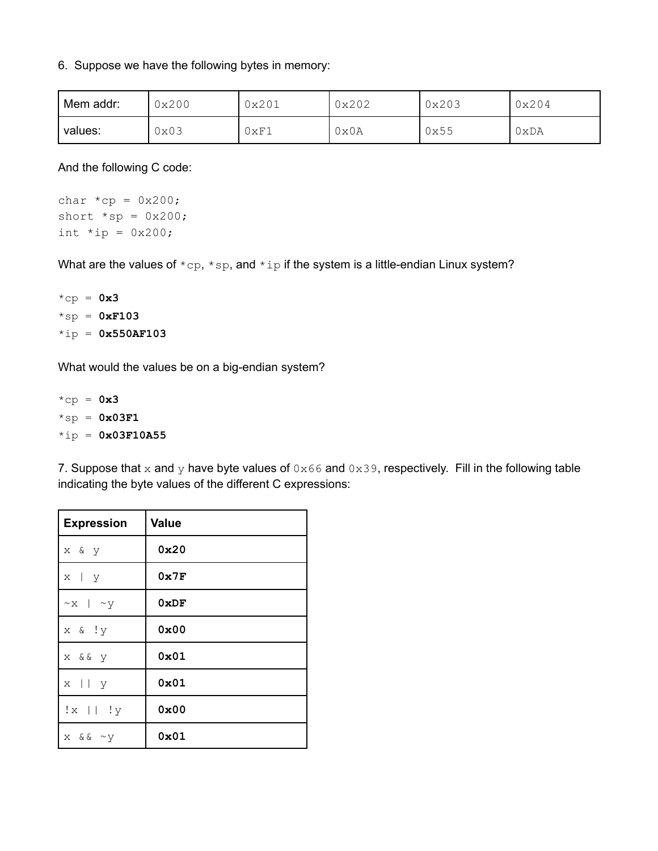## 6. Suppose we have the following bytes in memory:

| Mem addr: | 0x200 | 0x201 | 0x202 | 0x203 | 0x204 |
|-----------|-------|-------|-------|-------|-------|
| values:   | 0x03  | 0xF1  | 0x0A  | 0x55  | 0xDA  |

And the following C code:

char  $*cp = 0x200;$ short  $*sp = 0x200$ ; int  $*ip = 0x200;$ 

What are the values of  $*$ cp,  $*$ sp, and  $*$ ip if the system is a little-endian Linux system?

\*cp = **0x3** \*sp = **0xF103** \*ip = **0x550AF103**

What would the values be on a big-endian system?

 $*$ cp =  $0x3$ \*sp = **0x03F1** \*ip = **0x03F10A55**

7. Suppose that x and y have byte values of  $0 \times 66$  and  $0 \times 39$ , respectively. Fill in the following table indicating the byte values of the different C expressions:

| <b>Expression</b>     | <b>Value</b> |
|-----------------------|--------------|
| x & y                 | 0x20         |
| $x \mid y$            | 0x7F         |
| $~\sim$ x   $~\sim$ y | 0xDF         |
| x & !y                | 0x00         |
| x & & y               | 0x01         |
| $x \mid \mid y$       | 0x01         |
| $!x \mid   \cdot   y$ | 0x00         |
| $x \&x \sim y$        | 0x01         |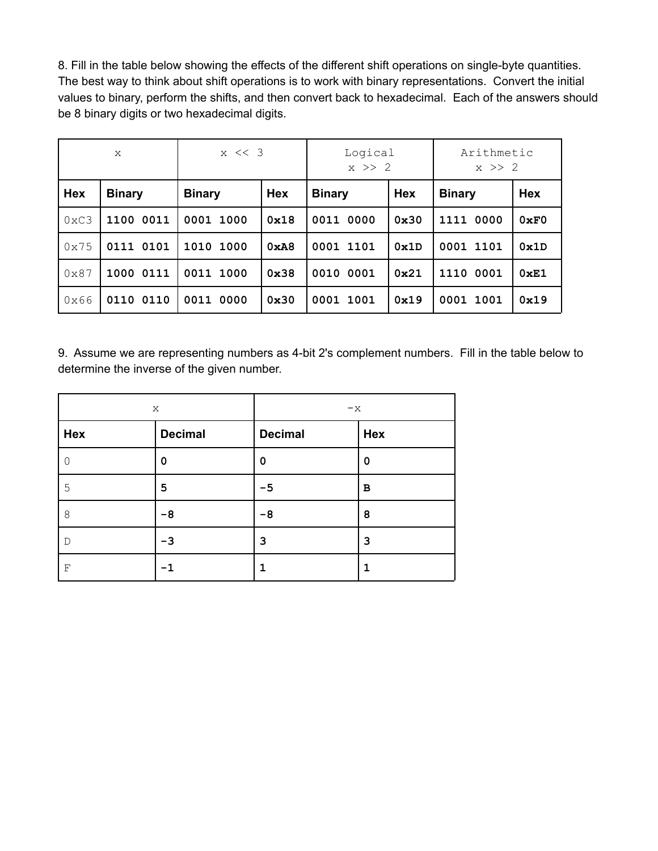8. Fill in the table below showing the effects of the different shift operations on single-byte quantities. The best way to think about shift operations is to work with binary representations. Convert the initial values to binary, perform the shifts, and then convert back to hexadecimal. Each of the answers should be 8 binary digits or two hexadecimal digits.

| X             |               | $x \leq 3$    |            | Logical<br>$x \geq 2$       |      | Arithmetic<br>$x \geq 2$ |            |
|---------------|---------------|---------------|------------|-----------------------------|------|--------------------------|------------|
| <b>Hex</b>    | <b>Binary</b> | <b>Binary</b> | <b>Hex</b> | <b>Hex</b><br><b>Binary</b> |      | <b>Binary</b>            | <b>Hex</b> |
| $0 \times C3$ | 1100 0011     | 0001 1000     | 0x18       | 0011 0000                   | 0x30 | 1111<br>0000             | 0xF0       |
| 0x75          | 0111 0101     | 1010<br>1000  | 0xA8       | 0001 1101                   | 0x1D | 0001 1101                | 0x1D       |
| $0 \times 87$ | 1000 0111     | 0011 1000     | 0x38       | 0010 0001                   | 0x21 | 1110 0001                | 0xE1       |
| 0x66          | 0110 0110     | 0011 0000     | 0x30       | 0001<br>1001                | 0x19 | 0001<br>1001             | 0x19       |

9. Assume we are representing numbers as 4-bit 2's complement numbers. Fill in the table below to determine the inverse of the given number.

| X   |                                  | $-x$ |             |  |
|-----|----------------------------------|------|-------------|--|
| Hex | <b>Decimal</b><br><b>Decimal</b> |      | Hex         |  |
| 0   | 0                                | 0    | 0           |  |
| 5   | 5                                | $-5$ | $\mathbf B$ |  |
| 8   | $-8$                             | $-8$ | 8           |  |
| D   | -3                               | 3    | 3           |  |
| F   |                                  | 1    |             |  |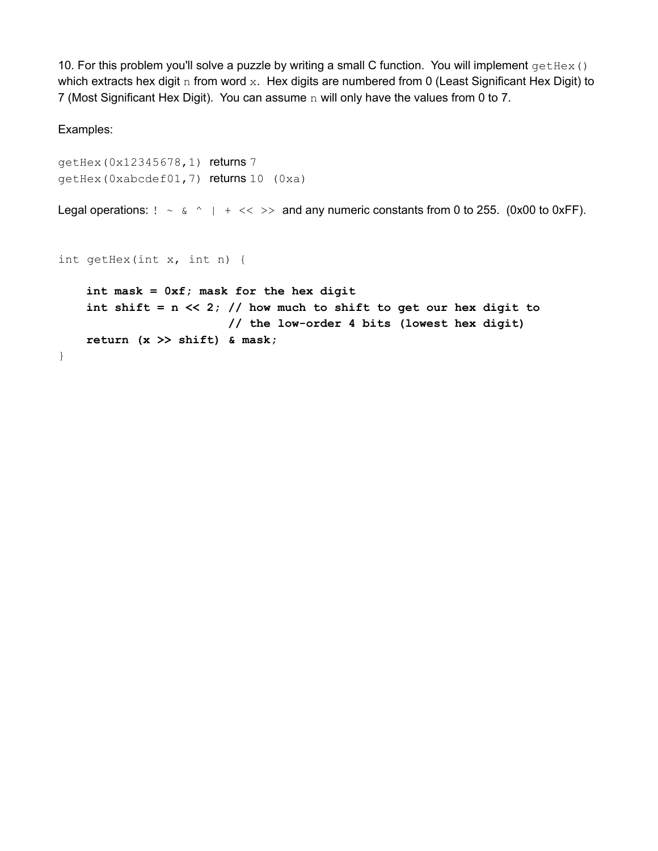10. For this problem you'll solve a puzzle by writing a small C function. You will implement  $getHex()$ which extracts hex digit n from word x. Hex digits are numbered from 0 (Least Significant Hex Digit) to 7 (Most Significant Hex Digit). You can assume n will only have the values from 0 to 7.

Examples:

```
getHex(0x12345678,1) returns 7
getHex(0xabcdef01,7) returns 10 (0xa)
```
Legal operations:  $! \sim \alpha \sim | + \ll \gg$  and any numeric constants from 0 to 255. (0x00 to 0xFF).

```
int getHex(int x, int n) {
```

```
int mask = 0xf; mask for the hex digit
   int shift = n << 2; // how much to shift to get our hex digit to
                       // the low-order 4 bits (lowest hex digit)
   return (x >> shift) & mask;
}
```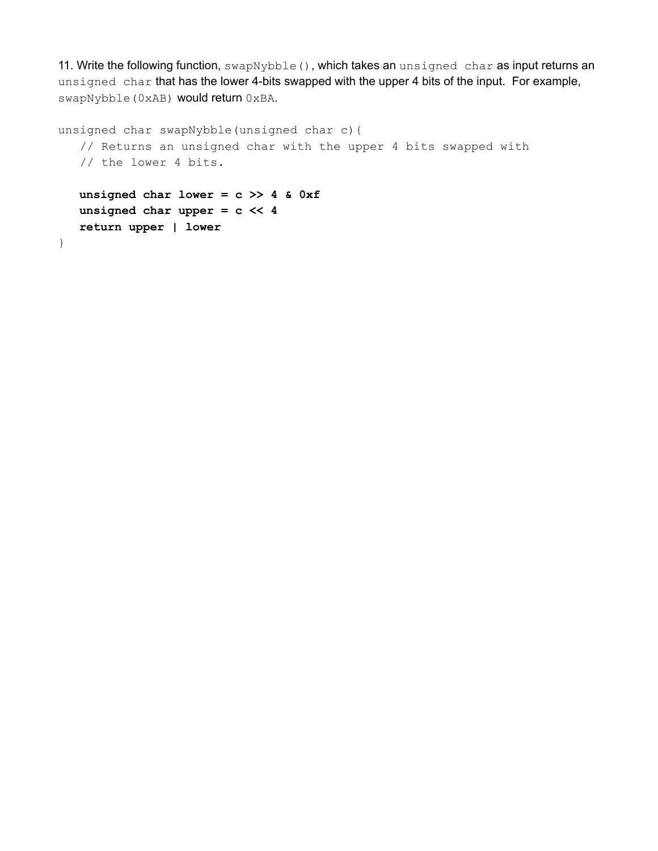11. Write the following function, swapNybble(), which takes an unsigned char as input returns an unsigned char that has the lower 4-bits swapped with the upper 4 bits of the input. For example, swapNybble(0xAB) would return 0xBA.

```
unsigned char swapNybble(unsigned char c){
  // Returns an unsigned char with the upper 4 bits swapped with
  // the lower 4 bits.
  unsigned char lower = c >> 4 & 0xf
  unsigned char upper = c << 4
  return upper | lower
}
```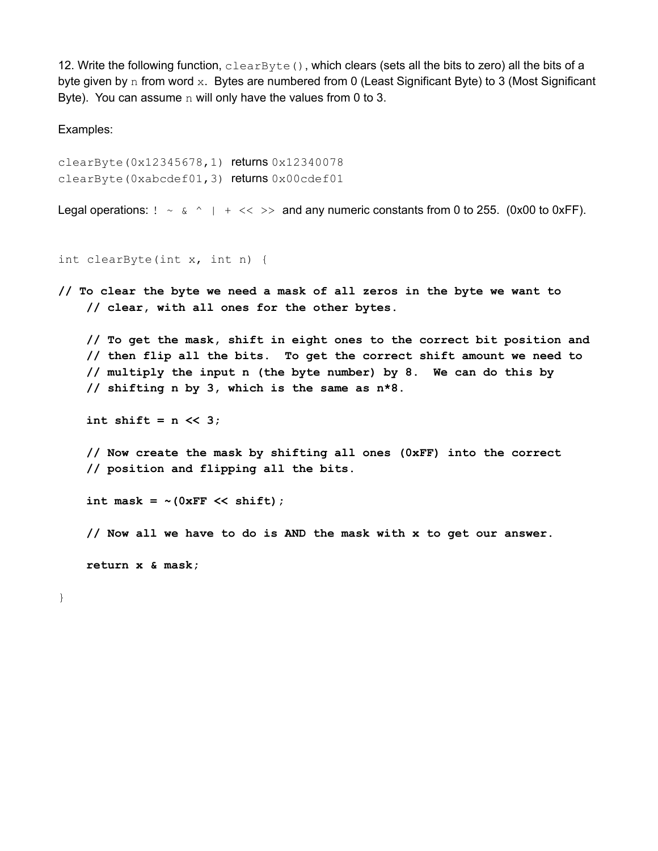12. Write the following function,  $\text{clearByte}()$ , which clears (sets all the bits to zero) all the bits of a byte given by n from word x. Bytes are numbered from 0 (Least Significant Byte) to 3 (Most Significant Byte). You can assume  $n$  will only have the values from 0 to 3.

Examples:

```
clearByte(0x12345678,1) returns 0x12340078
clearByte(0xabcdef01,3) returns 0x00cdef01
```

```
Legal operations: ! \sim \alpha \sim | \cdot | << \rangle and any numeric constants from 0 to 255. (0x00 to 0xFF).
```

```
int clearByte(int x, int n) {
```
**// To clear the byte we need a mask of all zeros in the byte we want to // clear, with all ones for the other bytes.**

**// To get the mask, shift in eight ones to the correct bit position and // then flip all the bits. To get the correct shift amount we need to // multiply the input n (the byte number) by 8. We can do this by // shifting n by 3, which is the same as n\*8.**

**int shift = n << 3;**

**// Now create the mask by shifting all ones (0xFF) into the correct // position and flipping all the bits.**

**int mask = ~(0xFF << shift);**

**// Now all we have to do is AND the mask with x to get our answer.**

**return x & mask;**

}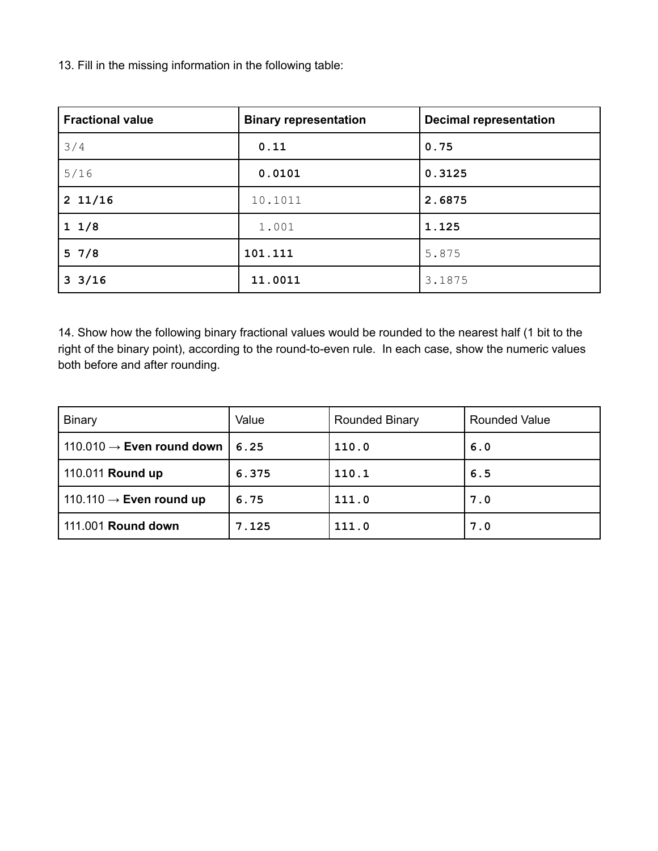13. Fill in the missing information in the following table:

| <b>Fractional value</b> | <b>Binary representation</b> | <b>Decimal representation</b> |
|-------------------------|------------------------------|-------------------------------|
| 3/4                     | 0.11                         | 0.75                          |
| 5/16                    | 0.0101                       | 0.3125                        |
| $2\;11/16$              | 10.1011                      | 2.6875                        |
| 11/8                    | 1.001                        | 1.125                         |
| 57/8                    | 101.111                      | 5.875                         |
| $3 \frac{3}{16}$        | 11.0011                      | 3.1875                        |

14. Show how the following binary fractional values would be rounded to the nearest half (1 bit to the right of the binary point), according to the round-to-even rule. In each case, show the numeric values both before and after rounding.

| <b>Binary</b>                                 | Value | <b>Rounded Binary</b> | <b>Rounded Value</b> |  |
|-----------------------------------------------|-------|-----------------------|----------------------|--|
| 110.010 $\rightarrow$ Even round down<br>6.25 |       | 110.0                 | 6.0                  |  |
| 110.011 Round up                              | 6.375 | 110.1                 | 6.5                  |  |
| 110.110 $\rightarrow$ Even round up           | 6.75  | 111.0                 | 7.0                  |  |
| 111.001 Round down                            | 7.125 | 111.0                 | 7.0                  |  |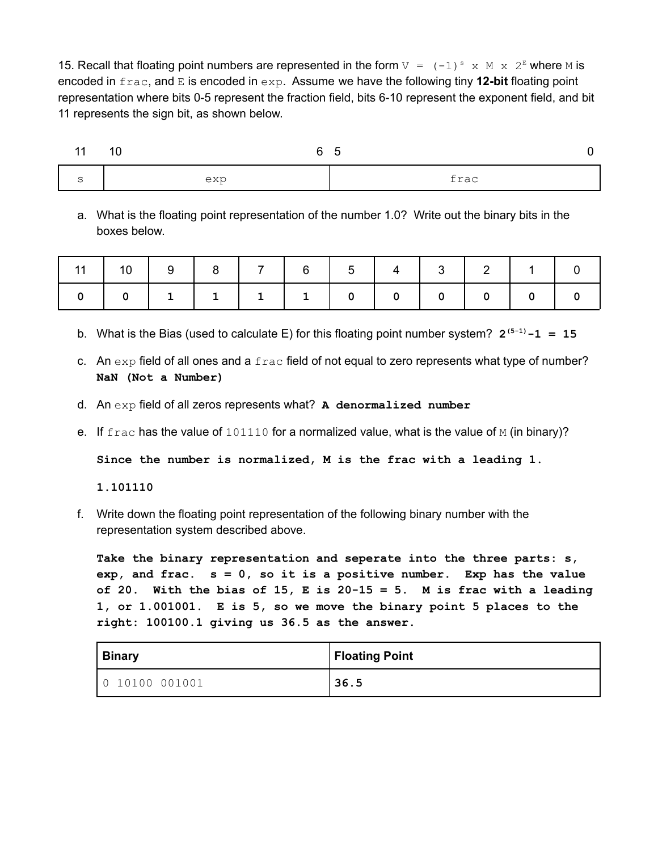15. Recall that floating point numbers are represented in the form  $V = (-1)^s$  x M x  $2^E$  where M is encoded in frac, and E is encoded in exp. Assume we have the following tiny **12-bit** floating point representation where bits 0-5 represent the fraction field, bits 6-10 represent the exponent field, and bit 11 represents the sign bit, as shown below.

| $-11$ | -10<br>6 | $\cdot$ |
|-------|----------|---------|
| ب     | exp      | frac    |

a. What is the floating point representation of the number 1.0? Write out the binary bits in the boxes below.

| 11   10   9   8   7   6   5   4   3   2   1   0 |  |  |  |  |  |
|-------------------------------------------------|--|--|--|--|--|
|                                                 |  |  |  |  |  |

- b. What is the Bias (used to calculate E) for this floating point number system?  $2^{(5-1)} 1 = 15$
- c. An  $\exp$  field of all ones and a  $\text{frac}$  field of not equal to zero represents what type of number? **NaN (Not a Number)**
- d. An exp field of all zeros represents what? **A denormalized number**
- e. If  $frac$  has the value of  $101110$  for a normalized value, what is the value of M (in binary)?

**Since the number is normalized, M is the frac with a leading 1.**

**1.101110**

f. Write down the floating point representation of the following binary number with the representation system described above.

**Take the binary representation and seperate into the three parts: s, exp, and frac. s = 0, so it is a positive number. Exp has the value of 20. With the bias of 15, E is 20-15 = 5. M is frac with a leading 1, or 1.001001. E is 5, so we move the binary point 5 places to the right: 100100.1 giving us 36.5 as the answer.**

| <b>Binary</b>  | <b>Floating Point</b> |
|----------------|-----------------------|
| 0 10100 001001 | 36.5                  |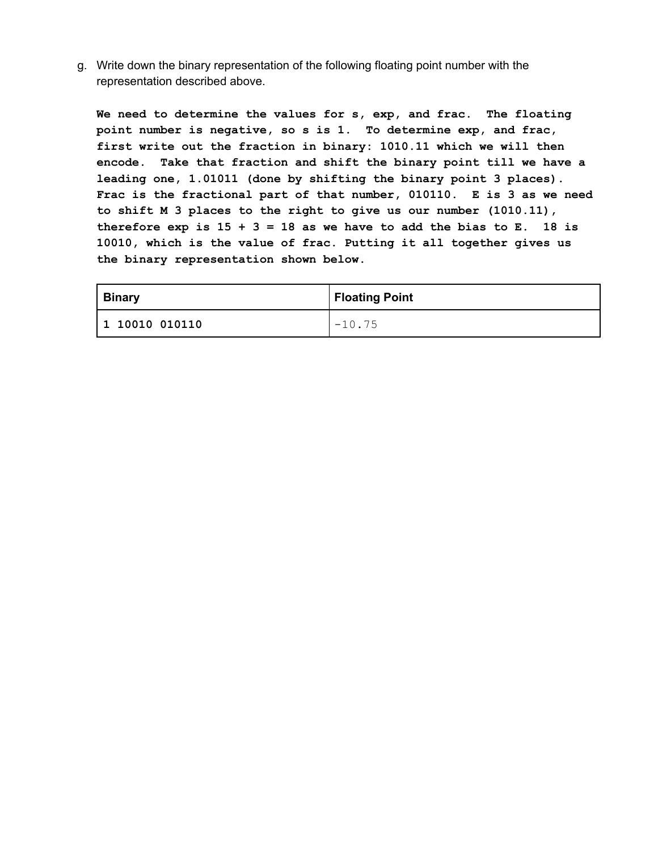g. Write down the binary representation of the following floating point number with the representation described above.

**We need to determine the values for s, exp, and frac. The floating point number is negative, so s is 1. To determine exp, and frac, first write out the fraction in binary: 1010.11 which we will then encode. Take that fraction and shift the binary point till we have a leading one, 1.01011 (done by shifting the binary point 3 places). Frac is the fractional part of that number, 010110. E is 3 as we need to shift M 3 places to the right to give us our number (1010.11), therefore exp is 15 + 3 = 18 as we have to add the bias to E. 18 is 10010, which is the value of frac. Putting it all together gives us the binary representation shown below.**

| <b>Binary</b>  | Floating Point |
|----------------|----------------|
| 1 10010 010110 | $-10.75$       |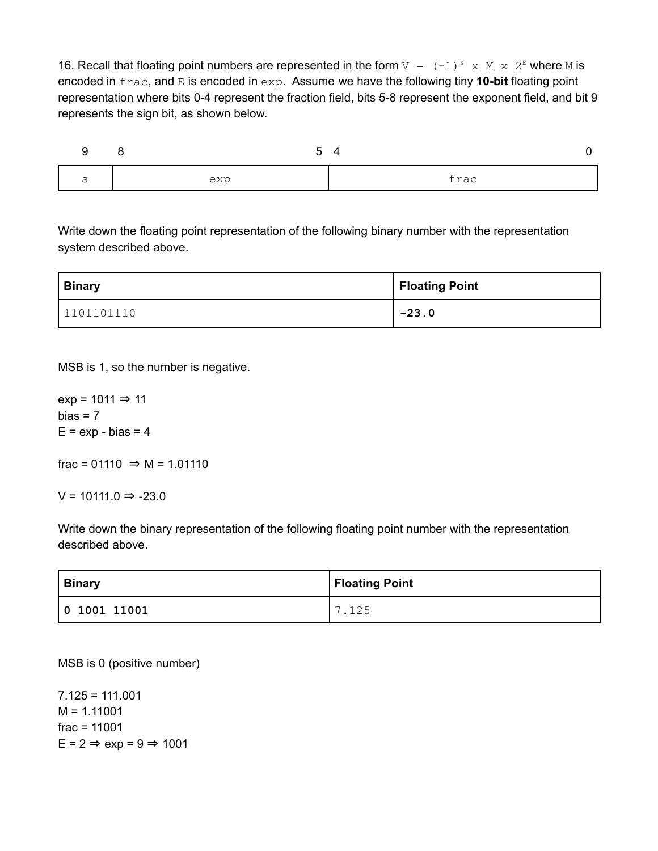16. Recall that floating point numbers are represented in the form  $V = (-1)^s$  x M x  $2^E$  where M is encoded in frac, and E is encoded in exp. Assume we have the following tiny **10-bit** floating point representation where bits 0-4 represent the fraction field, bits 5-8 represent the exponent field, and bit 9 represents the sign bit, as shown below.



Write down the floating point representation of the following binary number with the representation system described above.

| <b>Binary</b> | Floating Point |
|---------------|----------------|
| 1101101110    | $-23.0$        |

MSB is 1, so the number is negative.

 $exp = 1011 \Rightarrow 11$  $bias = 7$  $E = exp - bias = 4$ 

frac = 01110  $\Rightarrow$  M = 1.01110

 $V = 10111.0$  ⇒ -23.0

Write down the binary representation of the following floating point number with the representation described above.

| <b>Binary</b> | Floating Point       |
|---------------|----------------------|
| 0 1001 11001  | $\overline{ }$<br>つら |

MSB is 0 (positive number)

7.125 = 111.001  $M = 1.11001$ frac = 11001  $E = 2 \Rightarrow exp = 9 \Rightarrow 1001$